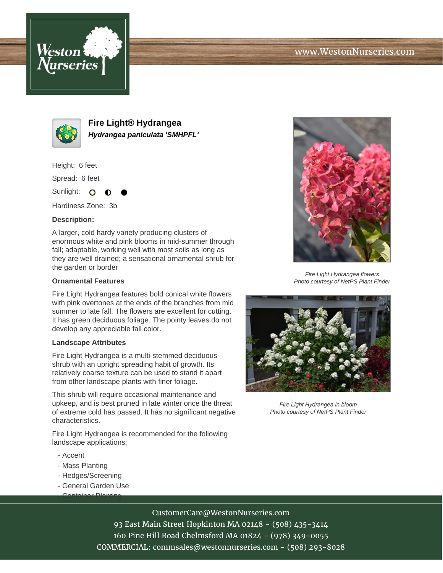



**Fire Light® Hydrangea Hydrangea paniculata 'SMHPFL'**

Height: 6 feet

Spread: 6 feet

Sunlight: O

Hardiness Zone: 3b

### **Description:**

A larger, cold hardy variety producing clusters of enormous white and pink blooms in mid-summer through fall; adaptable, working well with most soils as long as they are well drained; a sensational ornamental shrub for the garden or border

#### **Ornamental Features**

Fire Light Hydrangea features bold conical white flowers with pink overtones at the ends of the branches from mid summer to late fall. The flowers are excellent for cutting. It has green deciduous foliage. The pointy leaves do not develop any appreciable fall color.

### **Landscape Attributes**

Fire Light Hydrangea is a multi-stemmed deciduous shrub with an upright spreading habit of growth. Its relatively coarse texture can be used to stand it apart from other landscape plants with finer foliage.

This shrub will require occasional maintenance and upkeep, and is best pruned in late winter once the threat of extreme cold has passed. It has no significant negative characteristics.

Fire Light Hydrangea is recommended for the following landscape applications;

- Accent
- Mass Planting
- Hedges/Screening
- General Garden Use - Container Planting



Fire Light Hydrangea flowers Photo courtesy of NetPS Plant Finder



Fire Light Hydrangea in bloom Photo courtesy of NetPS Plant Finder

# CustomerCare@WestonNurseries.com

93 East Main Street Hopkinton MA 02148 - (508) 435-3414 160 Pine Hill Road Chelmsford MA 01824 - (978) 349-0055 COMMERCIAL: commsales@westonnurseries.com - (508) 293-8028